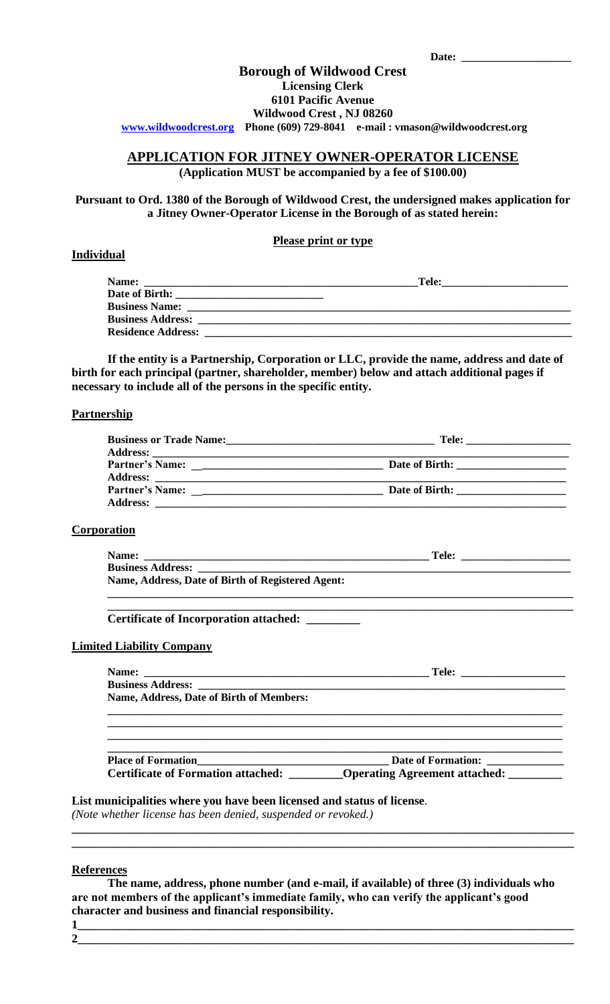| Date: |  |
|-------|--|
|       |  |

## **Borough of Wildwood Crest Licensing Clerk 6101 Pacific Avenue Wildwood Crest , NJ 08260**

**[www.wildwoodcrest.org](http://www.wildwoodcrest.org/) Phone (609) 729-8041 e-mail : vmason@wildwoodcrest.org** 

## **APPLICATION FOR JITNEY OWNER-OPERATOR LICENSE**

**(Application MUST be accompanied by a fee of \$100.00)**

**Pursuant to Ord. 1380 of the Borough of Wildwood Crest, the undersigned makes application for a Jitney Owner-Operator License in the Borough of as stated herein:**

## **Please print or type**

## **Individual**

| Tele: |
|-------|
|       |
|       |
|       |
|       |
|       |

**If the entity is a Partnership, Corporation or LLC, provide the name, address and date of birth for each principal (partner, shareholder, member) below and attach additional pages if necessary to include all of the persons in the specific entity.**

#### **Partnership**

| Business or Trade Name:<br><u>Letter and the substantial of the substantial of the substantial of the substantial of the substantial of the substantial of the substantial of the substantial of the substantial of the substantia</u> |  |
|----------------------------------------------------------------------------------------------------------------------------------------------------------------------------------------------------------------------------------------|--|
|                                                                                                                                                                                                                                        |  |
|                                                                                                                                                                                                                                        |  |
| <b>Partner's Name:</b><br><b>Address:</b>                                                                                                                                                                                              |  |

## **Corporation**

| Name:                                             | Tele: |
|---------------------------------------------------|-------|
| <b>Business Address:</b>                          |       |
| Name, Address, Date of Birth of Registered Agent: |       |
|                                                   |       |

**\_\_\_\_\_\_\_\_\_\_\_\_\_\_\_\_\_\_\_\_\_\_\_\_\_\_\_\_\_\_\_\_\_\_\_\_\_\_\_\_\_\_\_\_\_\_\_\_\_\_\_\_\_\_\_\_\_\_\_\_\_\_\_\_\_\_\_\_\_\_\_\_\_\_\_\_\_\_\_\_\_\_\_\_\_**

#### **Certificate of Incorporation attached: \_\_\_\_\_\_\_\_\_**

## **Limited Liability Company**

| <b>Name, Address, Date of Birth of Members:</b> |                                              |
|-------------------------------------------------|----------------------------------------------|
|                                                 |                                              |
|                                                 |                                              |
|                                                 |                                              |
|                                                 | <b>Place of Formation Date of Formation:</b> |
| <b>Certificate of Formation attached:</b>       | <b>Operating Agreement attached:</b>         |

#### **List municipalities where you have been licensed and status of license***.*

*(Note whether license has been denied, suspended or revoked.)*

#### **References**

**The name, address, phone number (and e-mail, if available) of three (3) individuals who are not members of the applicant's immediate family, who can verify the applicant's good character and business and financial responsibility. 1\_\_\_\_\_\_\_\_\_\_\_\_\_\_\_\_\_\_\_\_\_\_\_\_\_\_\_\_\_\_\_\_\_\_\_\_\_\_\_\_\_\_\_\_\_\_\_\_\_\_\_\_\_\_\_\_\_\_\_\_\_\_\_\_\_\_\_\_\_\_\_\_\_\_\_\_\_\_\_\_\_\_\_**

**\_\_\_\_\_\_\_\_\_\_\_\_\_\_\_\_\_\_\_\_\_\_\_\_\_\_\_\_\_\_\_\_\_\_\_\_\_\_\_\_\_\_\_\_\_\_\_\_\_\_\_\_\_\_\_\_\_\_\_\_\_\_\_\_\_\_\_\_\_\_\_\_\_\_\_\_\_\_\_\_\_\_\_\_ \_\_\_\_\_\_\_\_\_\_\_\_\_\_\_\_\_\_\_\_\_\_\_\_\_\_\_\_\_\_\_\_\_\_\_\_\_\_\_\_\_\_\_\_\_\_\_\_\_\_\_\_\_\_\_\_\_\_\_\_\_\_\_\_\_\_\_\_\_\_\_\_\_\_\_\_\_\_\_\_\_\_\_\_**

**2\_\_\_\_\_\_\_\_\_\_\_\_\_\_\_\_\_\_\_\_\_\_\_\_\_\_\_\_\_\_\_\_\_\_\_\_\_\_\_\_\_\_\_\_\_\_\_\_\_\_\_\_\_\_\_\_\_\_\_\_\_\_\_\_\_\_\_\_\_\_\_\_\_\_\_\_\_\_\_\_\_\_\_**